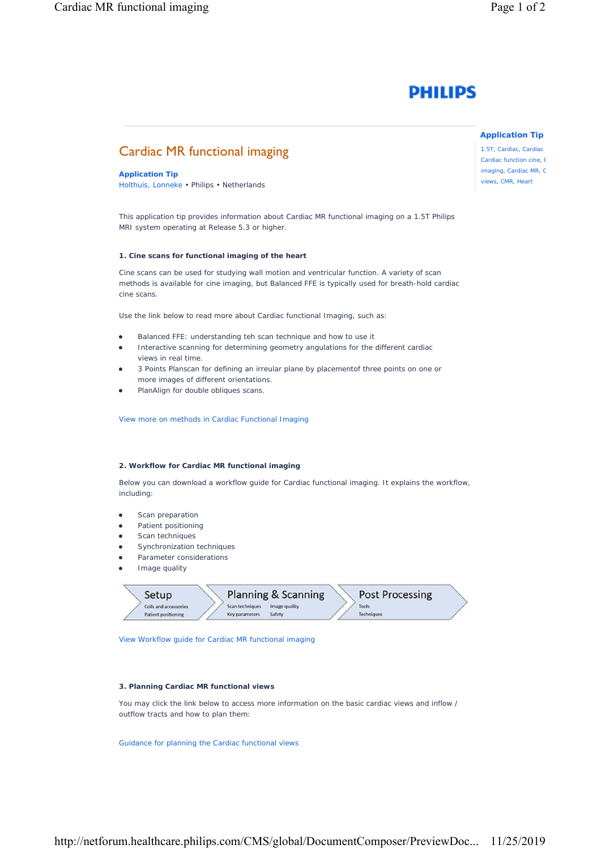

# Cardiac MR functional imaging

**Application Tip** Holthuis, Lonneke • Philips • Netherlands

This application tip provides information about Cardiac MR functional imaging on a 1.5T Philips MRI system operating at Release 5.3 or higher.

### **1. Cine scans for functional imaging of the heart**

Cine scans can be used for studying wall motion and ventricular function. A variety of scan methods is available for cine imaging, but Balanced FFE is typically used for breath-hold cardiac cine scans.

Use the link below to read more about Cardiac functional Imaging, such as:

- Balanced FFE: understanding teh scan technique and how to use it
- Interactive scanning for determining geometry angulations for the different cardiac views in real time.
- 3 Points Planscan for defining an irreular plane by placementof three points on one or more images of different orientations.
- PlanAlign for double obliques scans.

View more on methods in Cardiac Functional Imaging

#### **2. Workflow for Cardiac MR functional imaging**

Below you can download a workflow guide for Cardiac functional imaging. It explains the workflow, including:

- Scan preparation
- Patient positioning
- **•** Scan techniques
- Synchronization techniques
- Parameter considerations
- Image quality

| Setup                                        | Planning & Scanning                                          | Post Processing            |  |
|----------------------------------------------|--------------------------------------------------------------|----------------------------|--|
| Colls and accessories<br>Patient positioning | Image quality<br>Scan techniques<br>Key parameters<br>Safety | Tools<br><b>Techniques</b> |  |

View Workflow guide for Cardiac MR functional imaging

#### **3. Planning Cardiac MR functional views**

You may click the link below to access more information on the basic cardiac views and inflow / outflow tracts and how to plan them:

Guidance for planning the Cardiac functional views

**Application Tip**